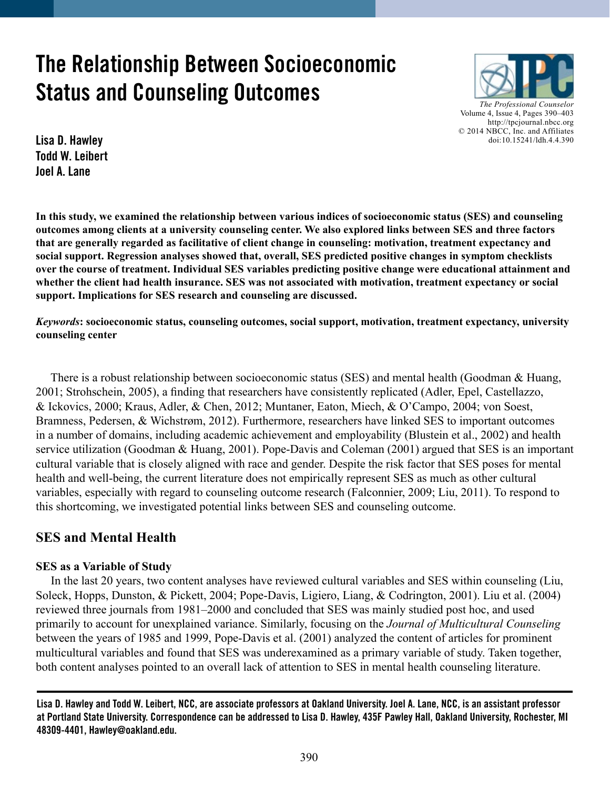# **The Relationship Between Socioeconomic Status and Counseling Outcomes**



**Lisa D. Hawley Todd W. Leibert Joel A. Lane**

**In this study, we examined the relationship between various indices of socioeconomic status (SES) and counseling outcomes among clients at a university counseling center. We also explored links between SES and three factors that are generally regarded as facilitative of client change in counseling: motivation, treatment expectancy and social support. Regression analyses showed that, overall, SES predicted positive changes in symptom checklists over the course of treatment. Individual SES variables predicting positive change were educational attainment and whether the client had health insurance. SES was not associated with motivation, treatment expectancy or social support. Implications for SES research and counseling are discussed.**

*Keywords***: socioeconomic status, counseling outcomes, social support, motivation, treatment expectancy, university counseling center**

There is a robust relationship between socioeconomic status (SES) and mental health (Goodman & Huang, 2001; Strohschein, 2005), a finding that researchers have consistently replicated (Adler, Epel, Castellazzo, & Ickovics, 2000; Kraus, Adler, & Chen, 2012; Muntaner, Eaton, Miech, & O'Campo, 2004; von Soest, Bramness, Pedersen, & Wichstrøm, 2012). Furthermore, researchers have linked SES to important outcomes in a number of domains, including academic achievement and employability (Blustein et al., 2002) and health service utilization (Goodman & Huang, 2001). Pope-Davis and Coleman (2001) argued that SES is an important cultural variable that is closely aligned with race and gender. Despite the risk factor that SES poses for mental health and well-being, the current literature does not empirically represent SES as much as other cultural variables, especially with regard to counseling outcome research (Falconnier, 2009; Liu, 2011). To respond to this shortcoming, we investigated potential links between SES and counseling outcome.

# **SES and Mental Health**

# **SES as a Variable of Study**

 In the last 20 years, two content analyses have reviewed cultural variables and SES within counseling (Liu, Soleck, Hopps, Dunston, & Pickett, 2004; Pope-Davis, Ligiero, Liang, & Codrington, 2001). Liu et al. (2004) reviewed three journals from 1981–2000 and concluded that SES was mainly studied post hoc, and used primarily to account for unexplained variance. Similarly, focusing on the *Journal of Multicultural Counseling* between the years of 1985 and 1999, Pope-Davis et al. (2001) analyzed the content of articles for prominent multicultural variables and found that SES was underexamined as a primary variable of study. Taken together, both content analyses pointed to an overall lack of attention to SES in mental health counseling literature.

**Lisa D. Hawley and Todd W. Leibert, NCC, are associate professors at Oakland University. Joel A. Lane, NCC, is an assistant professor at Portland State University. Correspondence can be addressed to Lisa D. Hawley, 435F Pawley Hall, Oakland University, Rochester, MI 48309-4401, [Hawley@oakland.edu](mailto:Hawley@oakland.edu).**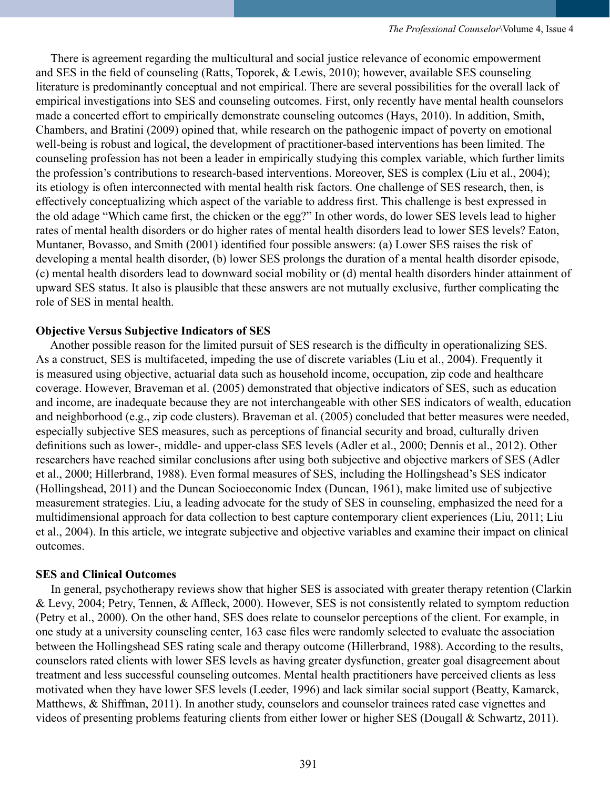There is agreement regarding the multicultural and social justice relevance of economic empowerment and SES in the field of counseling (Ratts, Toporek, & Lewis, 2010); however, available SES counseling literature is predominantly conceptual and not empirical. There are several possibilities for the overall lack of empirical investigations into SES and counseling outcomes. First, only recently have mental health counselors made a concerted effort to empirically demonstrate counseling outcomes (Hays, 2010). In addition, Smith, Chambers, and Bratini (2009) opined that, while research on the pathogenic impact of poverty on emotional well-being is robust and logical, the development of practitioner-based interventions has been limited. The counseling profession has not been a leader in empirically studying this complex variable, which further limits the profession's contributions to research-based interventions. Moreover, SES is complex (Liu et al., 2004); its etiology is often interconnected with mental health risk factors. One challenge of SES research, then, is effectively conceptualizing which aspect of the variable to address first. This challenge is best expressed in the old adage "Which came first, the chicken or the egg?" In other words, do lower SES levels lead to higher rates of mental health disorders or do higher rates of mental health disorders lead to lower SES levels? Eaton, Muntaner, Bovasso, and Smith (2001) identified four possible answers: (a) Lower SES raises the risk of developing a mental health disorder, (b) lower SES prolongs the duration of a mental health disorder episode, (c) mental health disorders lead to downward social mobility or (d) mental health disorders hinder attainment of upward SES status. It also is plausible that these answers are not mutually exclusive, further complicating the role of SES in mental health.

### **Objective Versus Subjective Indicators of SES**

 Another possible reason for the limited pursuit of SES research is the difficulty in operationalizing SES. As a construct, SES is multifaceted, impeding the use of discrete variables (Liu et al., 2004). Frequently it is measured using objective, actuarial data such as household income, occupation, zip code and healthcare coverage. However, Braveman et al. (2005) demonstrated that objective indicators of SES, such as education and income, are inadequate because they are not interchangeable with other SES indicators of wealth, education and neighborhood (e.g., zip code clusters). Braveman et al. (2005) concluded that better measures were needed, especially subjective SES measures, such as perceptions of financial security and broad, culturally driven definitions such as lower-, middle- and upper-class SES levels (Adler et al., 2000; Dennis et al., 2012). Other researchers have reached similar conclusions after using both subjective and objective markers of SES (Adler et al., 2000; Hillerbrand, 1988). Even formal measures of SES, including the Hollingshead's SES indicator (Hollingshead, 2011) and the Duncan Socioeconomic Index (Duncan, 1961), make limited use of subjective measurement strategies. Liu, a leading advocate for the study of SES in counseling, emphasized the need for a multidimensional approach for data collection to best capture contemporary client experiences (Liu, 2011; Liu et al., 2004). In this article, we integrate subjective and objective variables and examine their impact on clinical outcomes.

#### **SES and Clinical Outcomes**

 In general, psychotherapy reviews show that higher SES is associated with greater therapy retention (Clarkin & Levy, 2004; Petry, Tennen, & Affleck, 2000). However, SES is not consistently related to symptom reduction (Petry et al., 2000). On the other hand, SES does relate to counselor perceptions of the client. For example, in one study at a university counseling center, 163 case files were randomly selected to evaluate the association between the Hollingshead SES rating scale and therapy outcome (Hillerbrand, 1988). According to the results, counselors rated clients with lower SES levels as having greater dysfunction, greater goal disagreement about treatment and less successful counseling outcomes. Mental health practitioners have perceived clients as less motivated when they have lower SES levels (Leeder, 1996) and lack similar social support (Beatty, Kamarck, Matthews, & Shiffman, 2011). In another study, counselors and counselor trainees rated case vignettes and videos of presenting problems featuring clients from either lower or higher SES (Dougall & Schwartz, 2011).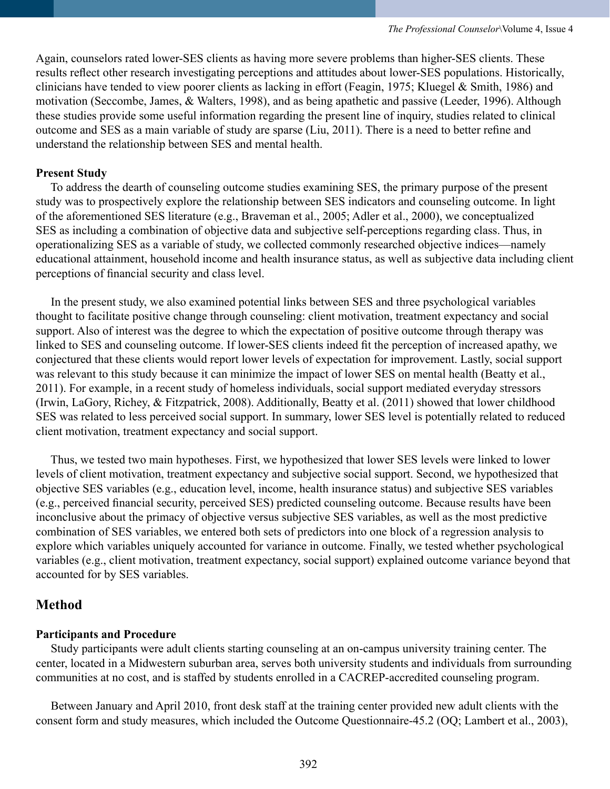Again, counselors rated lower-SES clients as having more severe problems than higher-SES clients. These results reflect other research investigating perceptions and attitudes about lower-SES populations. Historically, clinicians have tended to view poorer clients as lacking in effort (Feagin, 1975; Kluegel & Smith, 1986) and motivation (Seccombe, James, & Walters, 1998), and as being apathetic and passive (Leeder, 1996). Although these studies provide some useful information regarding the present line of inquiry, studies related to clinical outcome and SES as a main variable of study are sparse (Liu, 2011). There is a need to better refine and understand the relationship between SES and mental health.

### **Present Study**

 To address the dearth of counseling outcome studies examining SES, the primary purpose of the present study was to prospectively explore the relationship between SES indicators and counseling outcome. In light of the aforementioned SES literature (e.g., Braveman et al., 2005; Adler et al., 2000), we conceptualized SES as including a combination of objective data and subjective self-perceptions regarding class. Thus, in operationalizing SES as a variable of study, we collected commonly researched objective indices—namely educational attainment, household income and health insurance status, as well as subjective data including client perceptions of financial security and class level.

 In the present study, we also examined potential links between SES and three psychological variables thought to facilitate positive change through counseling: client motivation, treatment expectancy and social support. Also of interest was the degree to which the expectation of positive outcome through therapy was linked to SES and counseling outcome. If lower-SES clients indeed fit the perception of increased apathy, we conjectured that these clients would report lower levels of expectation for improvement. Lastly, social support was relevant to this study because it can minimize the impact of lower SES on mental health (Beatty et al., 2011). For example, in a recent study of homeless individuals, social support mediated everyday stressors (Irwin, LaGory, Richey, & Fitzpatrick, 2008). Additionally, Beatty et al. (2011) showed that lower childhood SES was related to less perceived social support. In summary, lower SES level is potentially related to reduced client motivation, treatment expectancy and social support.

 Thus, we tested two main hypotheses. First, we hypothesized that lower SES levels were linked to lower levels of client motivation, treatment expectancy and subjective social support. Second, we hypothesized that objective SES variables (e.g., education level, income, health insurance status) and subjective SES variables (e.g., perceived financial security, perceived SES) predicted counseling outcome. Because results have been inconclusive about the primacy of objective versus subjective SES variables, as well as the most predictive combination of SES variables, we entered both sets of predictors into one block of a regression analysis to explore which variables uniquely accounted for variance in outcome. Finally, we tested whether psychological variables (e.g., client motivation, treatment expectancy, social support) explained outcome variance beyond that accounted for by SES variables.

# **Method**

### **Participants and Procedure**

 Study participants were adult clients starting counseling at an on-campus university training center. The center, located in a Midwestern suburban area, serves both university students and individuals from surrounding communities at no cost, and is staffed by students enrolled in a CACREP-accredited counseling program.

 Between January and April 2010, front desk staff at the training center provided new adult clients with the consent form and study measures, which included the Outcome Questionnaire-45.2 (OQ; Lambert et al., 2003),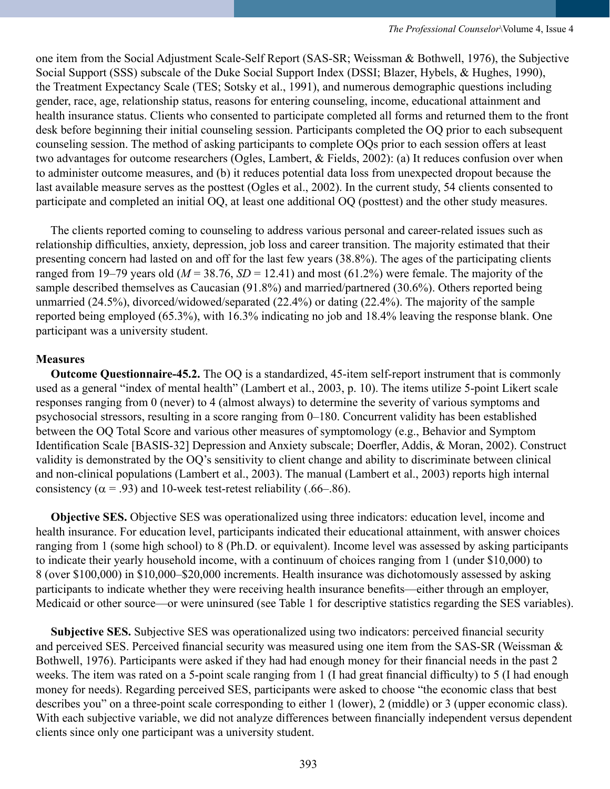one item from the Social Adjustment Scale-Self Report (SAS-SR; Weissman & Bothwell, 1976), the Subjective Social Support (SSS) subscale of the Duke Social Support Index (DSSI; Blazer, Hybels, & Hughes, 1990), the Treatment Expectancy Scale (TES; Sotsky et al., 1991), and numerous demographic questions including gender, race, age, relationship status, reasons for entering counseling, income, educational attainment and health insurance status. Clients who consented to participate completed all forms and returned them to the front desk before beginning their initial counseling session. Participants completed the OQ prior to each subsequent counseling session. The method of asking participants to complete OQs prior to each session offers at least two advantages for outcome researchers (Ogles, Lambert, & Fields, 2002): (a) It reduces confusion over when to administer outcome measures, and (b) it reduces potential data loss from unexpected dropout because the last available measure serves as the posttest (Ogles et al., 2002). In the current study, 54 clients consented to participate and completed an initial OQ, at least one additional OQ (posttest) and the other study measures.

 The clients reported coming to counseling to address various personal and career-related issues such as relationship difficulties, anxiety, depression, job loss and career transition. The majority estimated that their presenting concern had lasted on and off for the last few years (38.8%). The ages of the participating clients ranged from 19–79 years old ( $M = 38.76$ ,  $SD = 12.41$ ) and most (61.2%) were female. The majority of the sample described themselves as Caucasian (91.8%) and married/partnered (30.6%). Others reported being unmarried (24.5%), divorced/widowed/separated (22.4%) or dating (22.4%). The majority of the sample reported being employed (65.3%), with 16.3% indicating no job and 18.4% leaving the response blank. One participant was a university student.

### **Measures**

 **Outcome Questionnaire-45.2.** The OQ is a standardized, 45-item self-report instrument that is commonly used as a general "index of mental health" (Lambert et al., 2003, p. 10). The items utilize 5-point Likert scale responses ranging from 0 (never) to 4 (almost always) to determine the severity of various symptoms and psychosocial stressors, resulting in a score ranging from 0–180. Concurrent validity has been established between the OQ Total Score and various other measures of symptomology (e.g., Behavior and Symptom Identification Scale [BASIS-32] Depression and Anxiety subscale; Doerfler, Addis, & Moran, 2002). Construct validity is demonstrated by the OQ's sensitivity to client change and ability to discriminate between clinical and non-clinical populations (Lambert et al., 2003). The manual (Lambert et al., 2003) reports high internal consistency ( $\alpha$  = .93) and 10-week test-retest reliability (.66–.86).

 **Objective SES.** Objective SES was operationalized using three indicators: education level, income and health insurance. For education level, participants indicated their educational attainment, with answer choices ranging from 1 (some high school) to 8 (Ph.D. or equivalent). Income level was assessed by asking participants to indicate their yearly household income, with a continuum of choices ranging from 1 (under \$10,000) to 8 (over \$100,000) in \$10,000–\$20,000 increments. Health insurance was dichotomously assessed by asking participants to indicate whether they were receiving health insurance benefits—either through an employer, Medicaid or other source—or were uninsured (see Table 1 for descriptive statistics regarding the SES variables).

 **Subjective SES.** Subjective SES was operationalized using two indicators: perceived financial security and perceived SES. Perceived financial security was measured using one item from the SAS-SR (Weissman & Bothwell, 1976). Participants were asked if they had had enough money for their financial needs in the past 2 weeks. The item was rated on a 5-point scale ranging from 1 (I had great financial difficulty) to 5 (I had enough money for needs). Regarding perceived SES, participants were asked to choose "the economic class that best describes you" on a three-point scale corresponding to either 1 (lower), 2 (middle) or 3 (upper economic class). With each subjective variable, we did not analyze differences between financially independent versus dependent clients since only one participant was a university student.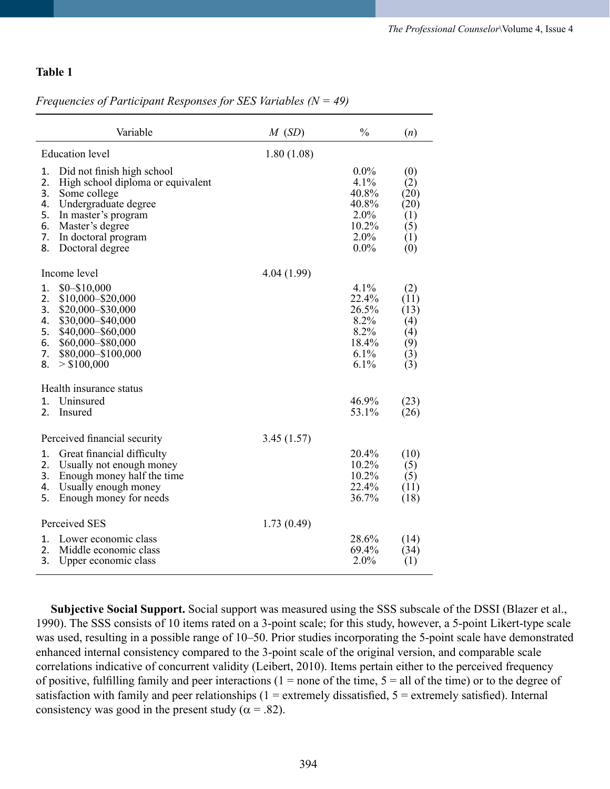### **Table 1**

### *Frequencies of Participant Responses for SES Variables (N = 49)*

| Variable                                                                                                                                                                                                                                    | M(SD)      | $\frac{0}{0}$                                                            | (n)                                                    |
|---------------------------------------------------------------------------------------------------------------------------------------------------------------------------------------------------------------------------------------------|------------|--------------------------------------------------------------------------|--------------------------------------------------------|
| <b>Education</b> level                                                                                                                                                                                                                      | 1.80(1.08) |                                                                          |                                                        |
| Did not finish high school<br>1.<br>2.<br>High school diploma or equivalent<br>3.<br>Some college<br>Undergraduate degree<br>4.<br>5.<br>In master's program<br>6.<br>Master's degree<br>7.<br>In doctoral program<br>8.<br>Doctoral degree |            | $0.0\%$<br>4.1%<br>40.8%<br>40.8%<br>$2.0\%$<br>10.2%<br>2.0%<br>$0.0\%$ | (0)<br>(2)<br>(20)<br>(20)<br>(1)<br>(5)<br>(1)<br>(0) |
| Income level                                                                                                                                                                                                                                | 4.04(1.99) |                                                                          |                                                        |
| $$0 - $10,000$<br>1.<br>2.<br>\$10,000-\$20,000<br>3.<br>\$20,000-\$30,000<br>\$30,000-\$40,000<br>4.<br>\$40,000-\$60,000<br>5.<br>6.<br>\$60,000-\$80,000<br>\$80,000-\$100,000<br>7.<br>> \$100,000<br>8.                                |            | 4.1%<br>22.4%<br>26.5%<br>8.2%<br>8.2%<br>18.4%<br>$6.1\%$<br>6.1%       | (2)<br>(11)<br>(13)<br>(4)<br>(4)<br>(9)<br>(3)<br>(3) |
| Health insurance status<br>1 <sub>1</sub><br>Uninsured                                                                                                                                                                                      |            | 46.9%                                                                    | (23)                                                   |
| 2.<br>Insured                                                                                                                                                                                                                               |            | 53.1%                                                                    | (26)                                                   |
| Perceived financial security<br>Great financial difficulty<br>1.<br>2.<br>Usually not enough money<br>3.<br>Enough money half the time<br>4.<br>Usually enough money<br>5.<br>Enough money for needs                                        | 3.45(1.57) | 20.4%<br>10.2%<br>10.2%<br>22.4%<br>36.7%                                | (10)<br>(5)<br>(5)<br>(11)<br>(18)                     |
| Perceived SES                                                                                                                                                                                                                               | 1.73(0.49) |                                                                          |                                                        |
| Lower economic class<br>1.<br>2.<br>Middle economic class<br>3.<br>Upper economic class                                                                                                                                                     |            | 28.6%<br>69.4%<br>2.0%                                                   | (14)<br>(34)<br>(1)                                    |

 **Subjective Social Support.** Social support was measured using the SSS subscale of the DSSI (Blazer et al., 1990). The SSS consists of 10 items rated on a 3-point scale; for this study, however, a 5-point Likert-type scale was used, resulting in a possible range of 10–50. Prior studies incorporating the 5-point scale have demonstrated enhanced internal consistency compared to the 3-point scale of the original version, and comparable scale correlations indicative of concurrent validity (Leibert, 2010). Items pertain either to the perceived frequency of positive, fulfilling family and peer interactions ( $1 =$  none of the time,  $5 =$  all of the time) or to the degree of satisfaction with family and peer relationships ( $1 =$  extremely dissatisfied,  $5 =$  extremely satisfied). Internal consistency was good in the present study ( $\alpha$  = .82).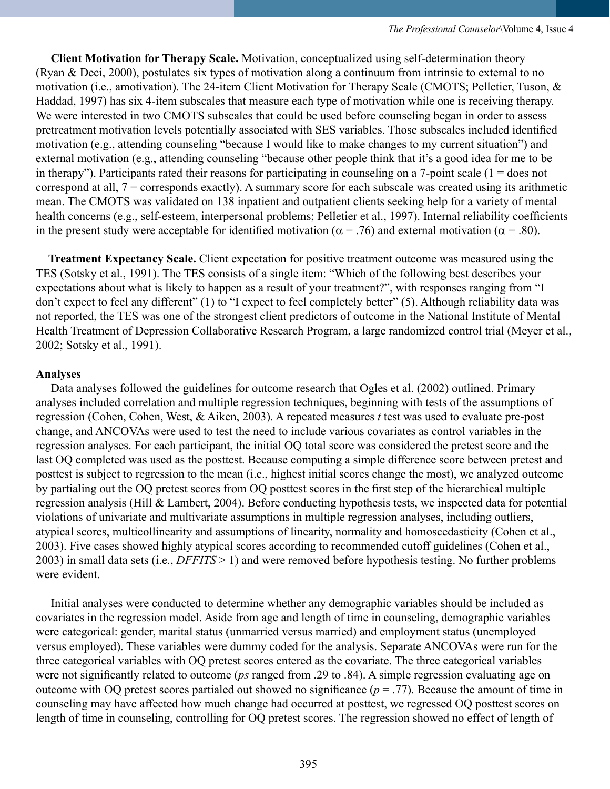**Client Motivation for Therapy Scale.** Motivation, conceptualized using self-determination theory (Ryan & Deci, 2000), postulates six types of motivation along a continuum from intrinsic to external to no motivation (i.e., amotivation). The 24-item Client Motivation for Therapy Scale (CMOTS; Pelletier, Tuson, & Haddad, 1997) has six 4-item subscales that measure each type of motivation while one is receiving therapy. We were interested in two CMOTS subscales that could be used before counseling began in order to assess pretreatment motivation levels potentially associated with SES variables. Those subscales included identified motivation (e.g., attending counseling "because I would like to make changes to my current situation") and external motivation (e.g., attending counseling "because other people think that it's a good idea for me to be in therapy"). Participants rated their reasons for participating in counseling on a 7-point scale ( $1 =$  does not correspond at all, 7 = corresponds exactly). A summary score for each subscale was created using its arithmetic mean. The CMOTS was validated on 138 inpatient and outpatient clients seeking help for a variety of mental health concerns (e.g., self-esteem, interpersonal problems; Pelletier et al., 1997). Internal reliability coefficients in the present study were acceptable for identified motivation ( $\alpha$  = .76) and external motivation ( $\alpha$  = .80).

 **Treatment Expectancy Scale.** Client expectation for positive treatment outcome was measured using the TES (Sotsky et al., 1991). The TES consists of a single item: "Which of the following best describes your expectations about what is likely to happen as a result of your treatment?", with responses ranging from "I don't expect to feel any different" (1) to "I expect to feel completely better" (5). Although reliability data was not reported, the TES was one of the strongest client predictors of outcome in the National Institute of Mental Health Treatment of Depression Collaborative Research Program, a large randomized control trial (Meyer et al., 2002; Sotsky et al., 1991).

### **Analyses**

 Data analyses followed the guidelines for outcome research that Ogles et al. (2002) outlined. Primary analyses included correlation and multiple regression techniques, beginning with tests of the assumptions of regression (Cohen, Cohen, West, & Aiken, 2003). A repeated measures *t* test was used to evaluate pre-post change, and ANCOVAs were used to test the need to include various covariates as control variables in the regression analyses. For each participant, the initial OQ total score was considered the pretest score and the last OQ completed was used as the posttest. Because computing a simple difference score between pretest and posttest is subject to regression to the mean (i.e., highest initial scores change the most), we analyzed outcome by partialing out the OQ pretest scores from OQ posttest scores in the first step of the hierarchical multiple regression analysis (Hill & Lambert, 2004). Before conducting hypothesis tests, we inspected data for potential violations of univariate and multivariate assumptions in multiple regression analyses, including outliers, atypical scores, multicollinearity and assumptions of linearity, normality and homoscedasticity (Cohen et al., 2003). Five cases showed highly atypical scores according to recommended cutoff guidelines (Cohen et al., 2003) in small data sets (i.e., *DFFITS* > 1) and were removed before hypothesis testing. No further problems were evident.

 Initial analyses were conducted to determine whether any demographic variables should be included as covariates in the regression model. Aside from age and length of time in counseling, demographic variables were categorical: gender, marital status (unmarried versus married) and employment status (unemployed versus employed). These variables were dummy coded for the analysis. Separate ANCOVAs were run for the three categorical variables with OQ pretest scores entered as the covariate. The three categorical variables were not significantly related to outcome (*ps* ranged from .29 to .84). A simple regression evaluating age on outcome with OQ pretest scores partialed out showed no significance  $(p = .77)$ . Because the amount of time in counseling may have affected how much change had occurred at posttest, we regressed OQ posttest scores on length of time in counseling, controlling for OQ pretest scores. The regression showed no effect of length of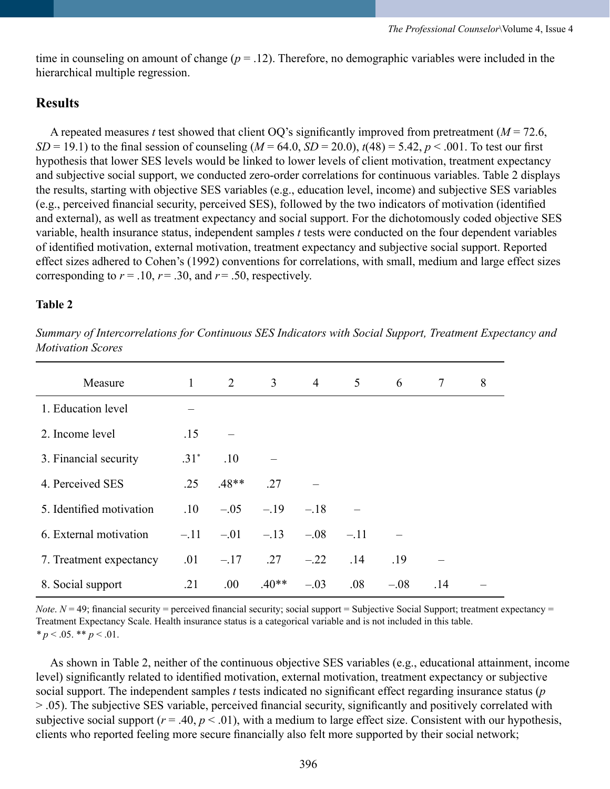time in counseling on amount of change  $(p = 0.12)$ . Therefore, no demographic variables were included in the hierarchical multiple regression.

# **Results**

A repeated measures *t* test showed that client OO's significantly improved from pretreatment ( $M = 72.6$ , *SD* = 19.1) to the final session of counseling  $(M = 64.0, SD = 20.0)$ ,  $t(48) = 5.42, p < .001$ . To test our first hypothesis that lower SES levels would be linked to lower levels of client motivation, treatment expectancy and subjective social support, we conducted zero-order correlations for continuous variables. Table 2 displays the results, starting with objective SES variables (e.g., education level, income) and subjective SES variables (e.g., perceived financial security, perceived SES), followed by the two indicators of motivation (identified and external), as well as treatment expectancy and social support. For the dichotomously coded objective SES variable, health insurance status, independent samples *t* tests were conducted on the four dependent variables of identified motivation, external motivation, treatment expectancy and subjective social support. Reported effect sizes adhered to Cohen's (1992) conventions for correlations, with small, medium and large effect sizes corresponding to  $r = .10$ ,  $r = .30$ , and  $r = .50$ , respectively.

# **Table 2**

*Summary of Intercorrelations for Continuous SES Indicators with Social Support, Treatment Expectancy and Motivation Scores*

| Measure                  | $\mathbf{1}$ | $\overline{2}$ | 3 <sup>7</sup> | $\overline{4}$ | 5      | 6      | $\tau$ | 8 |
|--------------------------|--------------|----------------|----------------|----------------|--------|--------|--------|---|
| 1. Education level       |              |                |                |                |        |        |        |   |
| 2. Income level          | .15          |                |                |                |        |        |        |   |
| 3. Financial security    | $.31*$       | .10            |                |                |        |        |        |   |
| 4. Perceived SES         | .25          | $.48**$        | .27            |                |        |        |        |   |
| 5. Identified motivation | .10          | $-.05$         | $-.19$         | $-.18$         |        |        |        |   |
| 6. External motivation   | $-.11$       | $-.01$         | $-.13$         | $-.08$         | $-.11$ |        |        |   |
| 7. Treatment expectancy  | .01          | $-.17$         | .27            | $-.22$         | .14    | .19    |        |   |
| 8. Social support        | .21          | .00.           | $.40**$        | $-.03$         | .08    | $-.08$ | .14    |   |

*Note*.  $N = 49$ ; financial security = perceived financial security; social support = Subjective Social Support; treatment expectancy = Treatment Expectancy Scale. Health insurance status is a categorical variable and is not included in this table.  $* p < .05$ .  $* p < .01$ .

 As shown in Table 2, neither of the continuous objective SES variables (e.g., educational attainment, income level) significantly related to identified motivation, external motivation, treatment expectancy or subjective social support. The independent samples *t* tests indicated no significant effect regarding insurance status (*p* > .05). The subjective SES variable, perceived financial security, significantly and positively correlated with subjective social support ( $r = .40$ ,  $p < .01$ ), with a medium to large effect size. Consistent with our hypothesis, clients who reported feeling more secure financially also felt more supported by their social network;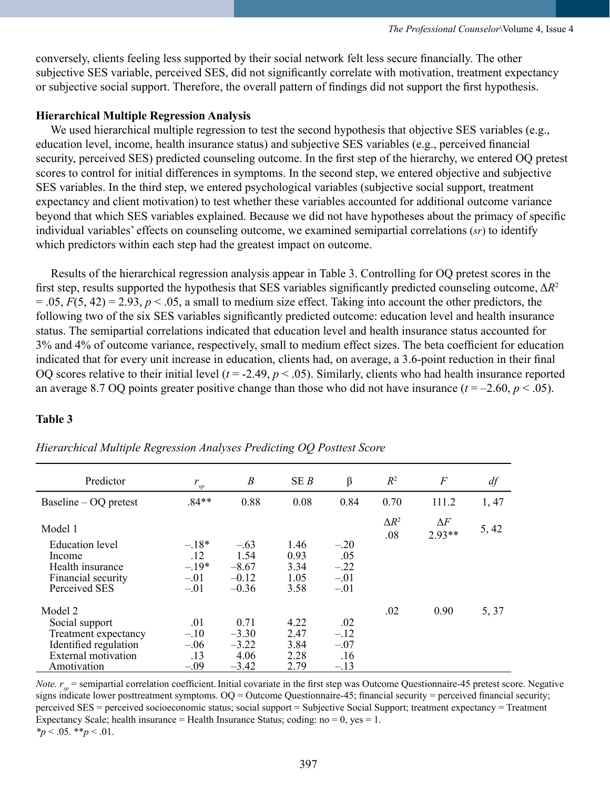conversely, clients feeling less supported by their social network felt less secure financially. The other subjective SES variable, perceived SES, did not significantly correlate with motivation, treatment expectancy or subjective social support. Therefore, the overall pattern of findings did not support the first hypothesis.

### **Hierarchical Multiple Regression Analysis**

We used hierarchical multiple regression to test the second hypothesis that objective SES variables (e.g., education level, income, health insurance status) and subjective SES variables (e.g., perceived financial security, perceived SES) predicted counseling outcome. In the first step of the hierarchy, we entered OQ pretest scores to control for initial differences in symptoms. In the second step, we entered objective and subjective SES variables. In the third step, we entered psychological variables (subjective social support, treatment expectancy and client motivation) to test whether these variables accounted for additional outcome variance beyond that which SES variables explained. Because we did not have hypotheses about the primacy of specific individual variables' effects on counseling outcome, we examined semipartial correlations (*sr*) to identify which predictors within each step had the greatest impact on outcome.

 Results of the hierarchical regression analysis appear in Table 3. Controlling for OQ pretest scores in the first step, results supported the hypothesis that SES variables significantly predicted counseling outcome, Δ*R*<sup>2</sup>  $= .05, F(5, 42) = 2.93, p < .05$ , a small to medium size effect. Taking into account the other predictors, the following two of the six SES variables significantly predicted outcome: education level and health insurance status. The semipartial correlations indicated that education level and health insurance status accounted for 3% and 4% of outcome variance, respectively, small to medium effect sizes. The beta coefficient for education indicated that for every unit increase in education, clients had, on average, a 3.6-point reduction in their final OO scores relative to their initial level  $(t = -2.49, p < .05)$ . Similarly, clients who had health insurance reported an average 8.7 OQ points greater positive change than those who did not have insurance  $(t = -2.60, p < .05)$ .

# **Table 3**

| Predictor                        | $r_{sp}$       | $\boldsymbol{B}$ | SEB          | $\beta$       | $R^2$               | $\boldsymbol{F}$       | df    |
|----------------------------------|----------------|------------------|--------------|---------------|---------------------|------------------------|-------|
| Baseline $-$ OQ pretest          | $.84**$        | 0.88             | 0.08         | 0.84          | 0.70                | 111.2                  | 1, 47 |
| Model 1                          |                |                  |              |               | $\Delta R^2$<br>.08 | $\Delta F$<br>$2.93**$ | 5, 42 |
| <b>Education</b> level<br>Income | $-.18*$<br>.12 | $-.63$<br>1.54   | 1.46<br>0.93 | $-.20$<br>.05 |                     |                        |       |
| Health insurance                 | $-.19*$        | $-8.67$          | 3.34         | $-.22$        |                     |                        |       |
| Financial security               | $-.01$         | $-0.12$          | 1.05         | $-.01$        |                     |                        |       |
| Perceived SES                    | $-.01$         | $-0.36$          | 3.58         | $-.01$        |                     |                        |       |
| Model 2                          |                |                  |              |               | .02                 | 0.90                   | 5, 37 |
| Social support                   | .01            | 0.71             | 4.22         | .02           |                     |                        |       |
| Treatment expectancy             | $-.10$         | $-3.30$          | 2.47         | $-.12$        |                     |                        |       |
| Identified regulation            | $-.06$         | $-3.22$          | 3.84         | $-.07$        |                     |                        |       |
| <b>External</b> motivation       | .13            | 4.06             | 2.28         | .16           |                     |                        |       |
| Amotivation                      | $-.09$         | $-3.42$          | 2.79         | $-.13$        |                     |                        |       |

# *Hierarchical Multiple Regression Analyses Predicting OQ Posttest Score*

*Note.*  $r_{sp}$  = semipartial correlation coefficient. Initial covariate in the first step was Outcome Questionnaire-45 pretest score. Negative signs indicate lower posttreatment symptoms. OQ = Outcome Questionnaire-45; financial security = perceived financial security; perceived SES = perceived socioeconomic status; social support = Subjective Social Support; treatment expectancy = Treatment Expectancy Scale; health insurance = Health Insurance Status; coding:  $no = 0$ ,  $yes = 1$ . *\*p* < .05. \*\**p* < .01.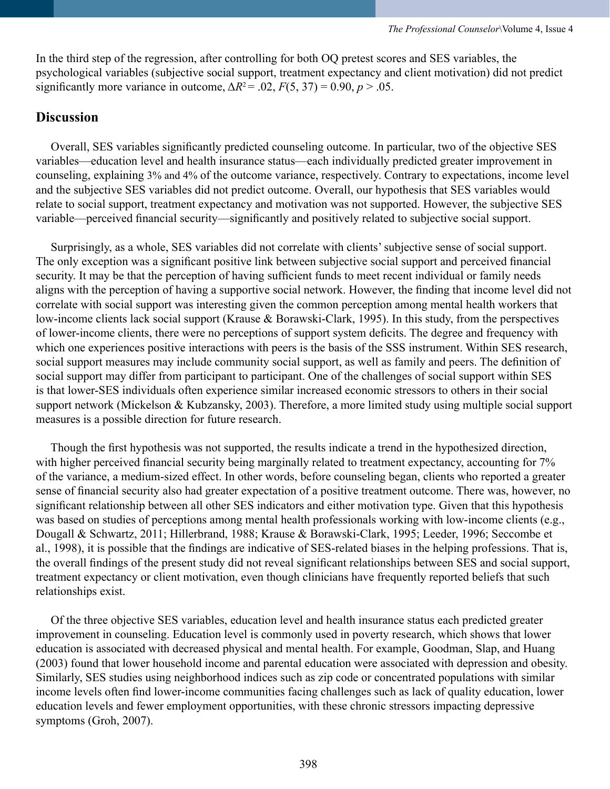In the third step of the regression, after controlling for both OQ pretest scores and SES variables, the psychological variables (subjective social support, treatment expectancy and client motivation) did not predict significantly more variance in outcome,  $\Delta R^2 = .02$ ,  $F(5, 37) = 0.90$ ,  $p > .05$ .

# **Discussion**

 Overall, SES variables significantly predicted counseling outcome. In particular, two of the objective SES variables—education level and health insurance status—each individually predicted greater improvement in counseling, explaining 3% and 4% of the outcome variance, respectively. Contrary to expectations, income level and the subjective SES variables did not predict outcome. Overall, our hypothesis that SES variables would relate to social support, treatment expectancy and motivation was not supported. However, the subjective SES variable—perceived financial security—significantly and positively related to subjective social support.

 Surprisingly, as a whole, SES variables did not correlate with clients' subjective sense of social support. The only exception was a significant positive link between subjective social support and perceived financial security. It may be that the perception of having sufficient funds to meet recent individual or family needs aligns with the perception of having a supportive social network. However, the finding that income level did not correlate with social support was interesting given the common perception among mental health workers that low-income clients lack social support (Krause & Borawski-Clark, 1995). In this study, from the perspectives of lower-income clients, there were no perceptions of support system deficits. The degree and frequency with which one experiences positive interactions with peers is the basis of the SSS instrument. Within SES research, social support measures may include community social support, as well as family and peers. The definition of social support may differ from participant to participant. One of the challenges of social support within SES is that lower-SES individuals often experience similar increased economic stressors to others in their social support network (Mickelson & Kubzansky, 2003). Therefore, a more limited study using multiple social support measures is a possible direction for future research.

 Though the first hypothesis was not supported, the results indicate a trend in the hypothesized direction, with higher perceived financial security being marginally related to treatment expectancy, accounting for  $7\%$ of the variance, a medium-sized effect. In other words, before counseling began, clients who reported a greater sense of financial security also had greater expectation of a positive treatment outcome. There was, however, no significant relationship between all other SES indicators and either motivation type. Given that this hypothesis was based on studies of perceptions among mental health professionals working with low-income clients (e.g., Dougall & Schwartz, 2011; Hillerbrand, 1988; Krause & Borawski-Clark, 1995; Leeder, 1996; Seccombe et al., 1998), it is possible that the findings are indicative of SES-related biases in the helping professions. That is, the overall findings of the present study did not reveal significant relationships between SES and social support, treatment expectancy or client motivation, even though clinicians have frequently reported beliefs that such relationships exist.

 Of the three objective SES variables, education level and health insurance status each predicted greater improvement in counseling. Education level is commonly used in poverty research, which shows that lower education is associated with decreased physical and mental health. For example, Goodman, Slap, and Huang (2003) found that lower household income and parental education were associated with depression and obesity. Similarly, SES studies using neighborhood indices such as zip code or concentrated populations with similar income levels often find lower-income communities facing challenges such as lack of quality education, lower education levels and fewer employment opportunities, with these chronic stressors impacting depressive symptoms (Groh, 2007).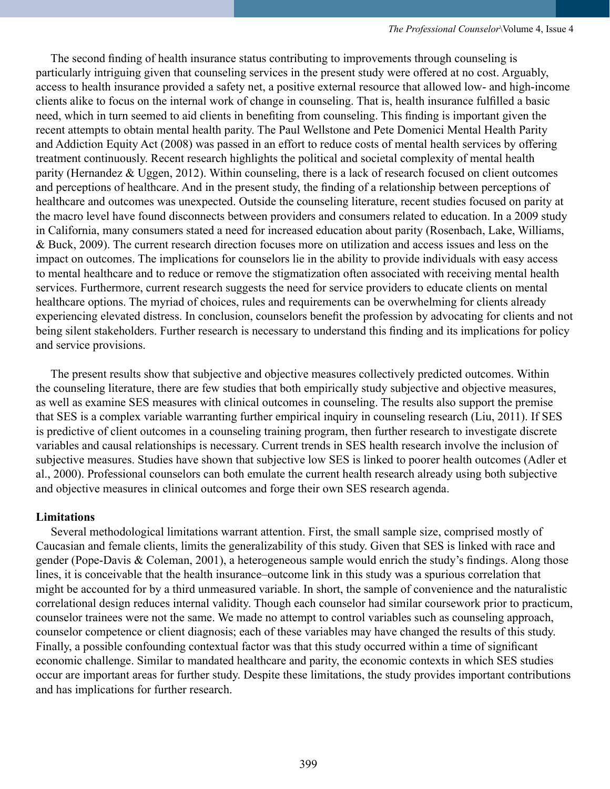The second finding of health insurance status contributing to improvements through counseling is particularly intriguing given that counseling services in the present study were offered at no cost. Arguably, access to health insurance provided a safety net, a positive external resource that allowed low- and high-income clients alike to focus on the internal work of change in counseling. That is, health insurance fulfilled a basic need, which in turn seemed to aid clients in benefiting from counseling. This finding is important given the recent attempts to obtain mental health parity. The Paul Wellstone and Pete Domenici Mental Health Parity and Addiction Equity Act (2008) was passed in an effort to reduce costs of mental health services by offering treatment continuously. Recent research highlights the political and societal complexity of mental health parity (Hernandez & Uggen, 2012). Within counseling, there is a lack of research focused on client outcomes and perceptions of healthcare. And in the present study, the finding of a relationship between perceptions of healthcare and outcomes was unexpected. Outside the counseling literature, recent studies focused on parity at the macro level have found disconnects between providers and consumers related to education. In a 2009 study in California, many consumers stated a need for increased education about parity (Rosenbach, Lake, Williams, & Buck, 2009). The current research direction focuses more on utilization and access issues and less on the impact on outcomes. The implications for counselors lie in the ability to provide individuals with easy access to mental healthcare and to reduce or remove the stigmatization often associated with receiving mental health services. Furthermore, current research suggests the need for service providers to educate clients on mental healthcare options. The myriad of choices, rules and requirements can be overwhelming for clients already experiencing elevated distress. In conclusion, counselors benefit the profession by advocating for clients and not being silent stakeholders. Further research is necessary to understand this finding and its implications for policy and service provisions.

 The present results show that subjective and objective measures collectively predicted outcomes. Within the counseling literature, there are few studies that both empirically study subjective and objective measures, as well as examine SES measures with clinical outcomes in counseling. The results also support the premise that SES is a complex variable warranting further empirical inquiry in counseling research (Liu, 2011). If SES is predictive of client outcomes in a counseling training program, then further research to investigate discrete variables and causal relationships is necessary. Current trends in SES health research involve the inclusion of subjective measures. Studies have shown that subjective low SES is linked to poorer health outcomes (Adler et al., 2000). Professional counselors can both emulate the current health research already using both subjective and objective measures in clinical outcomes and forge their own SES research agenda.

### **Limitations**

 Several methodological limitations warrant attention. First, the small sample size, comprised mostly of Caucasian and female clients, limits the generalizability of this study. Given that SES is linked with race and gender (Pope-Davis & Coleman, 2001), a heterogeneous sample would enrich the study's findings. Along those lines, it is conceivable that the health insurance–outcome link in this study was a spurious correlation that might be accounted for by a third unmeasured variable. In short, the sample of convenience and the naturalistic correlational design reduces internal validity. Though each counselor had similar coursework prior to practicum, counselor trainees were not the same. We made no attempt to control variables such as counseling approach, counselor competence or client diagnosis; each of these variables may have changed the results of this study. Finally, a possible confounding contextual factor was that this study occurred within a time of significant economic challenge. Similar to mandated healthcare and parity, the economic contexts in which SES studies occur are important areas for further study. Despite these limitations, the study provides important contributions and has implications for further research.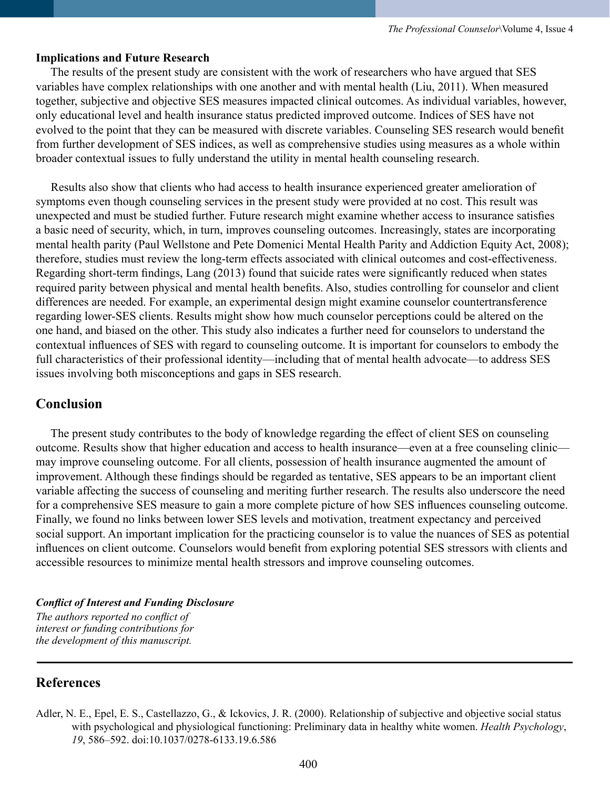### **Implications and Future Research**

 The results of the present study are consistent with the work of researchers who have argued that SES variables have complex relationships with one another and with mental health (Liu, 2011). When measured together, subjective and objective SES measures impacted clinical outcomes. As individual variables, however, only educational level and health insurance status predicted improved outcome. Indices of SES have not evolved to the point that they can be measured with discrete variables. Counseling SES research would benefit from further development of SES indices, as well as comprehensive studies using measures as a whole within broader contextual issues to fully understand the utility in mental health counseling research.

 Results also show that clients who had access to health insurance experienced greater amelioration of symptoms even though counseling services in the present study were provided at no cost. This result was unexpected and must be studied further. Future research might examine whether access to insurance satisfies a basic need of security, which, in turn, improves counseling outcomes. Increasingly, states are incorporating mental health parity (Paul Wellstone and Pete Domenici Mental Health Parity and Addiction Equity Act, 2008); therefore, studies must review the long-term effects associated with clinical outcomes and cost-effectiveness. Regarding short-term findings, Lang (2013) found that suicide rates were significantly reduced when states required parity between physical and mental health benefits. Also, studies controlling for counselor and client differences are needed. For example, an experimental design might examine counselor countertransference regarding lower-SES clients. Results might show how much counselor perceptions could be altered on the one hand, and biased on the other. This study also indicates a further need for counselors to understand the contextual influences of SES with regard to counseling outcome. It is important for counselors to embody the full characteristics of their professional identity—including that of mental health advocate—to address SES issues involving both misconceptions and gaps in SES research.

# **Conclusion**

 The present study contributes to the body of knowledge regarding the effect of client SES on counseling outcome. Results show that higher education and access to health insurance—even at a free counseling clinic may improve counseling outcome. For all clients, possession of health insurance augmented the amount of improvement. Although these findings should be regarded as tentative, SES appears to be an important client variable affecting the success of counseling and meriting further research. The results also underscore the need for a comprehensive SES measure to gain a more complete picture of how SES influences counseling outcome. Finally, we found no links between lower SES levels and motivation, treatment expectancy and perceived social support. An important implication for the practicing counselor is to value the nuances of SES as potential influences on client outcome. Counselors would benefit from exploring potential SES stressors with clients and accessible resources to minimize mental health stressors and improve counseling outcomes.

### *Conflict of Interest and Funding Disclosure*

*The authors reported no conflict of interest or funding contributions for the development of this manuscript.*

# **References**

Adler, N. E., Epel, E. S., Castellazzo, G., & Ickovics, J. R. (2000). Relationship of subjective and objective social status with psychological and physiological functioning: Preliminary data in healthy white women. *Health Psychology*, *19*, 586–592. doi:10.1037/0278-6133.19.6.586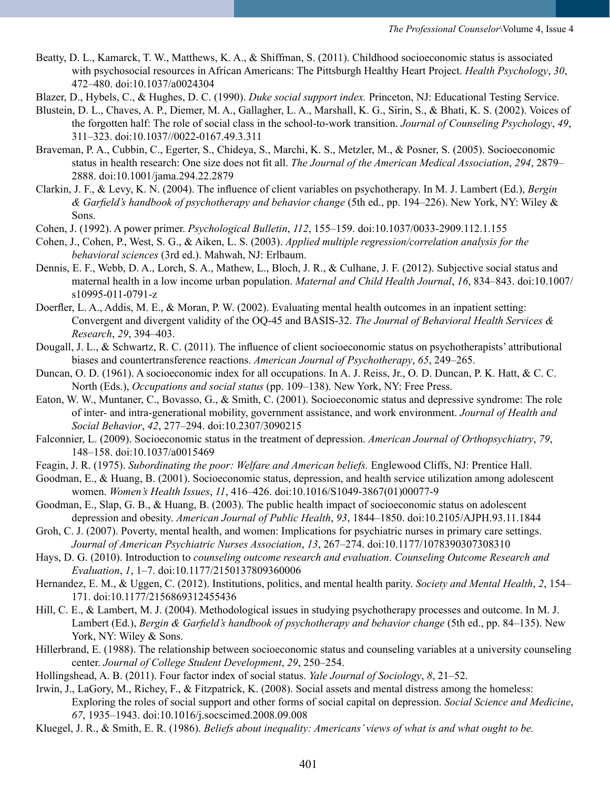- Beatty, D. L., Kamarck, T. W., Matthews, K. A., & Shiffman, S. (2011). Childhood socioeconomic status is associated with psychosocial resources in African Americans: The Pittsburgh Healthy Heart Project. *Health Psychology*, *30*, 472–480. doi:10.1037/a0024304
- Blazer, D., Hybels, C., & Hughes, D. C. (1990). *Duke social support index.* Princeton, NJ: Educational Testing Service.
- Blustein, D. L., Chaves, A. P., Diemer, M. A., Gallagher, L. A., Marshall, K. G., Sirin, S., & Bhati, K. S. (2002). Voices of the forgotten half: The role of social class in the school-to-work transition. *Journal of Counseling Psychology*, *49*, 311–323. doi:10.1037//0022-0167.49.3.311
- Braveman, P. A., Cubbin, C., Egerter, S., Chideya, S., Marchi, K. S., Metzler, M., & Posner, S. (2005). Socioeconomic status in health research: One size does not fit all. *The Journal of the American Medical Association*, *294*, 2879– 2888. doi:10.1001/jama.294.22.2879
- Clarkin, J. F., & Levy, K. N. (2004). The influence of client variables on psychotherapy. In M. J. Lambert (Ed.), *Bergin & Garfield's handbook of psychotherapy and behavior change* (5th ed., pp. 194–226). New York, NY: Wiley & Sons.
- Cohen, J. (1992). A power primer. *Psychological Bulletin*, *112*, 155–159. doi:10.1037/0033-2909.112.1.155
- Cohen, J., Cohen, P., West, S. G., & Aiken, L. S. (2003). *Applied multiple regression/correlation analysis for the behavioral sciences* (3rd ed.). Mahwah, NJ: Erlbaum.
- Dennis, E. F., Webb, D. A., Lorch, S. A., Mathew, L., Bloch, J. R., & Culhane, J. F. (2012). Subjective social status and maternal health in a low income urban population. *Maternal and Child Health Journal*, *16*, 834–843. doi:10.1007/ s10995-011-0791-z
- Doerfler, L. A., Addis, M. E., & Moran, P. W. (2002). Evaluating mental health outcomes in an inpatient setting: Convergent and divergent validity of the OQ-45 and BASIS-32. *The Journal of Behavioral Health Services & Research*, *29*, 394–403.
- Dougall, J. L., & Schwartz, R. C. (2011). The influence of client socioeconomic status on psychotherapists' attributional biases and countertransference reactions. *American Journal of Psychotherapy*, *65*, 249–265.
- Duncan, O. D. (1961). A socioeconomic index for all occupations. In A. J. Reiss, Jr., O. D. Duncan, P. K. Hatt, & C. C. North (Eds.), *Occupations and social status* (pp. 109–138). New York, NY: Free Press.
- Eaton, W. W., Muntaner, C., Bovasso, G., & Smith, C. (2001). Socioeconomic status and depressive syndrome: The role of inter- and intra-generational mobility, government assistance, and work environment. *Journal of Health and Social Behavior*, *42*, 277–294. doi:10.2307/3090215
- Falconnier, L. (2009). Socioeconomic status in the treatment of depression. *American Journal of Orthopsychiatry*, *79*, 148–158. doi:10.1037/a0015469
- Feagin, J. R. (1975). *Subordinating the poor: Welfare and American beliefs.* Englewood Cliffs, NJ: Prentice Hall.
- Goodman, E., & Huang, B. (2001). Socioeconomic status, depression, and health service utilization among adolescent women. *Women's Health Issues*, *11*, 416–426. doi[:10.1016/S1049-3867\(01\)00077-9](http://dx.doi.org/10.1016%2FS1049-3867%2801%2900077-9)
- Goodman, E., Slap, G. B., & Huang, B. (2003). The public health impact of socioeconomic status on adolescent depression and obesity. *American Journal of Public Health*, *93*, 1844–1850. doi:10.2105/AJPH.93.11.1844
- Groh, C. J. (2007). Poverty, mental health, and women: Implications for psychiatric nurses in primary care settings. *Journal of American Psychiatric Nurses Association*, *13*, 267–274. doi:10.1177/1078390307308310
- Hays, D. G. (2010). Introduction to *counseling outcome research and evaluation*. *Counseling Outcome Research and Evaluation*, *1*, 1–7. doi:10.1177/2150137809360006
- Hernandez, E. M., & Uggen, C. (2012). Institutions, politics, and mental health parity. *Society and Mental Health*, *2*, 154– 171. doi:10.1177/2156869312455436
- Hill, C. E., & Lambert, M. J. (2004). Methodological issues in studying psychotherapy processes and outcome. In M. J. Lambert (Ed.), *Bergin & Garfield's handbook of psychotherapy and behavior change* (5th ed., pp. 84–135). New York, NY: Wiley & Sons.
- Hillerbrand, E. (1988). The relationship between socioeconomic status and counseling variables at a university counseling center. *Journal of College Student Development*, *29*, 250–254.
- Hollingshead, A. B. (2011). Four factor index of social status. *Yale Journal of Sociology*, *8*, 21–52.
- Irwin, J., LaGory, M., Richey, F., & Fitzpatrick, K. (2008). Social assets and mental distress among the homeless: Exploring the roles of social support and other forms of social capital on depression. *Social Science and Medicine*, *67*, 1935–1943. doi:10.1016/j.socscimed.2008.09.008
- Kluegel, J. R., & Smith, E. R. (1986). *Beliefs about inequality: Americans' views of what is and what ought to be.*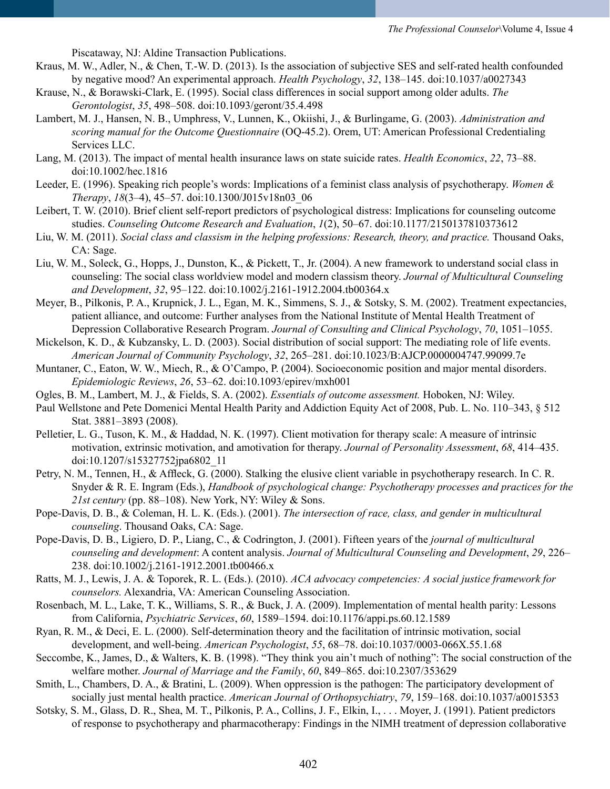Piscataway, NJ: Aldine Transaction Publications.

- Kraus, M. W., Adler, N., & Chen, T.-W. D. (2013). Is the association of subjective SES and self-rated health confounded by negative mood? An experimental approach. *Health Psychology*, *32*, 138–145. doi:10.1037/a0027343
- Krause, N., & Borawski-Clark, E. (1995). Social class differences in social support among older adults. *The Gerontologist*, *35*, 498–508. doi:10.1093/geront/35.4.498
- Lambert, M. J., Hansen, N. B., Umphress, V., Lunnen, K., Okiishi, J., & Burlingame, G. (2003). *Administration and scoring manual for the Outcome Questionnaire* (OQ-45.2). Orem, UT: American Professional Credentialing Services LLC.
- Lang, M. (2013). The impact of mental health insurance laws on state suicide rates. *Health Economics*, *22*, 73–88. doi:10.1002/hec.1816
- Leeder, E. (1996). Speaking rich people's words: Implications of a feminist class analysis of psychotherapy. *Women & Therapy*, *18*(3–4), 45–57. doi:10.1300/J015v18n03\_06
- Leibert, T. W. (2010). Brief client self-report predictors of psychological distress: Implications for counseling outcome studies. *Counseling Outcome Research and Evaluation*, *1*(2), 50–67. doi:10.1177/2150137810373612
- Liu, W. M. (2011). *Social class and classism in the helping professions: Research, theory, and practice.* Thousand Oaks, CA: Sage.
- Liu, W. M., Soleck, G., Hopps, J., Dunston, K., & Pickett, T., Jr. (2004). A new framework to understand social class in counseling: The social class worldview model and modern classism theory. *Journal of Multicultural Counseling and Development*, *32*, 95–122. doi:10.1002/j.2161-1912.2004.tb00364.x
- Meyer, B., Pilkonis, P. A., Krupnick, J. L., Egan, M. K., Simmens, S. J., & Sotsky, S. M. (2002). Treatment expectancies, patient alliance, and outcome: Further analyses from the National Institute of Mental Health Treatment of Depression Collaborative Research Program. *Journal of Consulting and Clinical Psychology*, *70*, 1051–1055.
- Mickelson, K. D., & Kubzansky, L. D. (2003). Social distribution of social support: The mediating role of life events. *American Journal of Community Psychology*, *32*, 265–281. doi:10.1023/B:AJCP.0000004747.99099.7e
- Muntaner, C., Eaton, W. W., Miech, R., & O'Campo, P. (2004). Socioeconomic position and major mental disorders. *Epidemiologic Reviews*, *26*, 53–62. doi:10.1093/epirev/mxh001
- Ogles, B. M., Lambert, M. J., & Fields, S. A. (2002). *Essentials of outcome assessment.* Hoboken, NJ: Wiley.
- Paul Wellstone and Pete Domenici Mental Health Parity and Addiction Equity Act of 2008, Pub. L. No. 110–343, § 512 Stat. 3881–3893 (2008).
- Pelletier, L. G., Tuson, K. M., & Haddad, N. K. (1997). Client motivation for therapy scale: A measure of intrinsic motivation, extrinsic motivation, and amotivation for therapy. *Journal of Personality Assessment*, *68*, 414–435. doi:10.1207/s15327752jpa6802\_11
- Petry, N. M., Tennen, H., & Affleck, G. (2000). Stalking the elusive client variable in psychotherapy research. In C. R. Snyder & R. E. Ingram (Eds.), *Handbook of psychological change: Psychotherapy processes and practices for the 21st century* (pp. 88–108). New York, NY: Wiley & Sons.
- Pope-Davis, D. B., & Coleman, H. L. K. (Eds.). (2001). *The intersection of race, class, and gender in multicultural counseling*. Thousand Oaks, CA: Sage.
- Pope-Davis, D. B., Ligiero, D. P., Liang, C., & Codrington, J. (2001). Fifteen years of the *journal of multicultural counseling and development*: A content analysis. *Journal of Multicultural Counseling and Development*, *29*, 226– 238. doi:10.1002/j.2161-1912.2001.tb00466.x
- Ratts, M. J., Lewis, J. A. & Toporek, R. L. (Eds.). (2010). *ACA advocacy competencies: A social justice framework for counselors.* Alexandria, VA: American Counseling Association.
- Rosenbach, M. L., Lake, T. K., Williams, S. R., & Buck, J. A. (2009). Implementation of mental health parity: Lessons from California, *Psychiatric Services*, *60*, 1589–1594. doi:10.1176/appi.ps.60.12.1589
- Ryan, R. M., & Deci, E. L. (2000). Self-determination theory and the facilitation of intrinsic motivation, social development, and well-being. *American Psychologist*, *55*, 68–78. doi:10.1037/0003-066X.55.1.68
- Seccombe, K., James, D., & Walters, K. B. (1998). "They think you ain't much of nothing": The social construction of the welfare mother. *Journal of Marriage and the Family*, *60*, 849–865. doi:10.2307/353629
- Smith, L., Chambers, D. A., & Bratini, L. (2009). When oppression is the pathogen: The participatory development of socially just mental health practice. *American Journal of Orthopsychiatry*, *79*, 159–168. doi:10.1037/a0015353
- Sotsky, S. M., Glass, D. R., Shea, M. T., Pilkonis, P. A., Collins, J. F., Elkin, I., . . . Moyer, J. (1991). Patient predictors of response to psychotherapy and pharmacotherapy: Findings in the NIMH treatment of depression collaborative